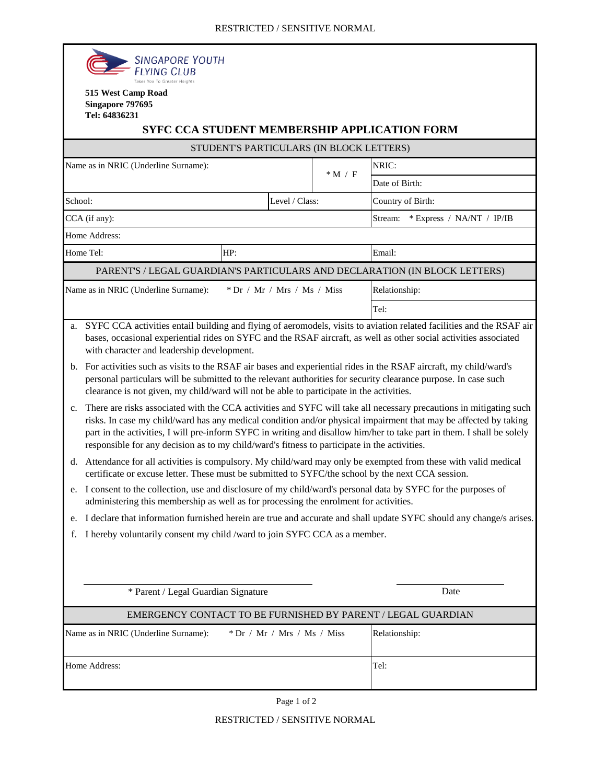|                                          | <b>SINGAPORE YOUTH</b><br>FLYING CLUB                                                                                                                                                                                                                                                                                                                                                                                                                                                                                                                                                                                                                                                                                                                                                                                                                                                                                                                                                                                                                                                                                                                                                                                                                                                                                                                                                                                                                                                                                                                                                                                                                                                                                                                                                     |                               |        |                                                                            |  |  |
|------------------------------------------|-------------------------------------------------------------------------------------------------------------------------------------------------------------------------------------------------------------------------------------------------------------------------------------------------------------------------------------------------------------------------------------------------------------------------------------------------------------------------------------------------------------------------------------------------------------------------------------------------------------------------------------------------------------------------------------------------------------------------------------------------------------------------------------------------------------------------------------------------------------------------------------------------------------------------------------------------------------------------------------------------------------------------------------------------------------------------------------------------------------------------------------------------------------------------------------------------------------------------------------------------------------------------------------------------------------------------------------------------------------------------------------------------------------------------------------------------------------------------------------------------------------------------------------------------------------------------------------------------------------------------------------------------------------------------------------------------------------------------------------------------------------------------------------------|-------------------------------|--------|----------------------------------------------------------------------------|--|--|
|                                          | Takes You To Greater Heights<br>515 West Camp Road<br>Singapore 797695<br>Tel: 64836231                                                                                                                                                                                                                                                                                                                                                                                                                                                                                                                                                                                                                                                                                                                                                                                                                                                                                                                                                                                                                                                                                                                                                                                                                                                                                                                                                                                                                                                                                                                                                                                                                                                                                                   |                               |        | <b>SYFC CCA STUDENT MEMBERSHIP APPLICATION FORM</b>                        |  |  |
| STUDENT'S PARTICULARS (IN BLOCK LETTERS) |                                                                                                                                                                                                                                                                                                                                                                                                                                                                                                                                                                                                                                                                                                                                                                                                                                                                                                                                                                                                                                                                                                                                                                                                                                                                                                                                                                                                                                                                                                                                                                                                                                                                                                                                                                                           |                               |        |                                                                            |  |  |
|                                          | Name as in NRIC (Underline Surname):                                                                                                                                                                                                                                                                                                                                                                                                                                                                                                                                                                                                                                                                                                                                                                                                                                                                                                                                                                                                                                                                                                                                                                                                                                                                                                                                                                                                                                                                                                                                                                                                                                                                                                                                                      |                               |        | NRIC:                                                                      |  |  |
|                                          |                                                                                                                                                                                                                                                                                                                                                                                                                                                                                                                                                                                                                                                                                                                                                                                                                                                                                                                                                                                                                                                                                                                                                                                                                                                                                                                                                                                                                                                                                                                                                                                                                                                                                                                                                                                           |                               | $*M/F$ | Date of Birth:                                                             |  |  |
| School:                                  |                                                                                                                                                                                                                                                                                                                                                                                                                                                                                                                                                                                                                                                                                                                                                                                                                                                                                                                                                                                                                                                                                                                                                                                                                                                                                                                                                                                                                                                                                                                                                                                                                                                                                                                                                                                           | Level / Class:                |        | Country of Birth:                                                          |  |  |
|                                          | CCA (if any):                                                                                                                                                                                                                                                                                                                                                                                                                                                                                                                                                                                                                                                                                                                                                                                                                                                                                                                                                                                                                                                                                                                                                                                                                                                                                                                                                                                                                                                                                                                                                                                                                                                                                                                                                                             |                               |        | * Express / NA/NT / IP/IB<br>Stream:                                       |  |  |
|                                          | Home Address:                                                                                                                                                                                                                                                                                                                                                                                                                                                                                                                                                                                                                                                                                                                                                                                                                                                                                                                                                                                                                                                                                                                                                                                                                                                                                                                                                                                                                                                                                                                                                                                                                                                                                                                                                                             |                               |        |                                                                            |  |  |
| Home Tel:                                |                                                                                                                                                                                                                                                                                                                                                                                                                                                                                                                                                                                                                                                                                                                                                                                                                                                                                                                                                                                                                                                                                                                                                                                                                                                                                                                                                                                                                                                                                                                                                                                                                                                                                                                                                                                           | HP:                           |        | Email:                                                                     |  |  |
|                                          |                                                                                                                                                                                                                                                                                                                                                                                                                                                                                                                                                                                                                                                                                                                                                                                                                                                                                                                                                                                                                                                                                                                                                                                                                                                                                                                                                                                                                                                                                                                                                                                                                                                                                                                                                                                           |                               |        | PARENT'S / LEGAL GUARDIAN'S PARTICULARS AND DECLARATION (IN BLOCK LETTERS) |  |  |
| Name as in NRIC (Underline Surname):     |                                                                                                                                                                                                                                                                                                                                                                                                                                                                                                                                                                                                                                                                                                                                                                                                                                                                                                                                                                                                                                                                                                                                                                                                                                                                                                                                                                                                                                                                                                                                                                                                                                                                                                                                                                                           | $*$ Dr / Mr / Mrs / Ms / Miss |        | Relationship:                                                              |  |  |
|                                          |                                                                                                                                                                                                                                                                                                                                                                                                                                                                                                                                                                                                                                                                                                                                                                                                                                                                                                                                                                                                                                                                                                                                                                                                                                                                                                                                                                                                                                                                                                                                                                                                                                                                                                                                                                                           |                               |        | Tel:                                                                       |  |  |
| a.<br>c.<br>e.<br>f.                     | SYFC CCA activities entail building and flying of aeromodels, visits to aviation related facilities and the RSAF air<br>bases, occasional experiential rides on SYFC and the RSAF aircraft, as well as other social activities associated<br>with character and leadership development.<br>b. For activities such as visits to the RSAF air bases and experiential rides in the RSAF aircraft, my child/ward's<br>personal particulars will be submitted to the relevant authorities for security clearance purpose. In case such<br>clearance is not given, my child/ward will not be able to participate in the activities.<br>There are risks associated with the CCA activities and SYFC will take all necessary precautions in mitigating such<br>risks. In case my child/ward has any medical condition and/or physical impairment that may be affected by taking<br>part in the activities, I will pre-inform SYFC in writing and disallow him/her to take part in them. I shall be solely<br>responsible for any decision as to my child/ward's fitness to participate in the activities.<br>d. Attendance for all activities is compulsory. My child/ward may only be exempted from these with valid medical<br>certificate or excuse letter. These must be submitted to SYFC/the school by the next CCA session.<br>e. I consent to the collection, use and disclosure of my child/ward's personal data by SYFC for the purposes of<br>administering this membership as well as for processing the enrolment for activities.<br>I declare that information furnished herein are true and accurate and shall update SYFC should any change/s arises.<br>I hereby voluntarily consent my child /ward to join SYFC CCA as a member.<br>* Parent / Legal Guardian Signature<br>Date |                               |        |                                                                            |  |  |
|                                          |                                                                                                                                                                                                                                                                                                                                                                                                                                                                                                                                                                                                                                                                                                                                                                                                                                                                                                                                                                                                                                                                                                                                                                                                                                                                                                                                                                                                                                                                                                                                                                                                                                                                                                                                                                                           |                               |        | EMERGENCY CONTACT TO BE FURNISHED BY PARENT / LEGAL GUARDIAN               |  |  |
|                                          | Name as in NRIC (Underline Surname):                                                                                                                                                                                                                                                                                                                                                                                                                                                                                                                                                                                                                                                                                                                                                                                                                                                                                                                                                                                                                                                                                                                                                                                                                                                                                                                                                                                                                                                                                                                                                                                                                                                                                                                                                      | Relationship:                 |        |                                                                            |  |  |
| Home Address:                            |                                                                                                                                                                                                                                                                                                                                                                                                                                                                                                                                                                                                                                                                                                                                                                                                                                                                                                                                                                                                                                                                                                                                                                                                                                                                                                                                                                                                                                                                                                                                                                                                                                                                                                                                                                                           |                               |        | Tel:                                                                       |  |  |